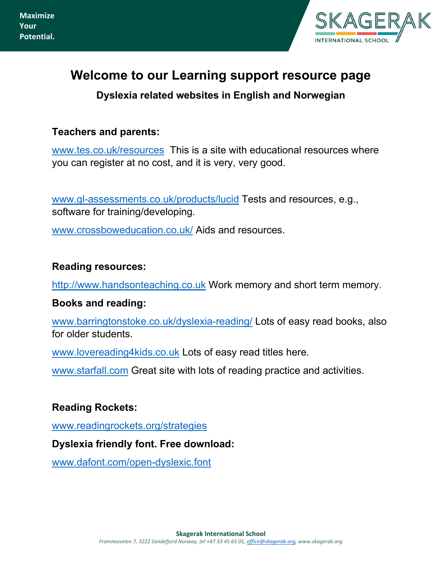

# **Welcome to our Learning support resource page**

**Dyslexia related websites in English and Norwegian**

## **Teachers and parents:**

[www.tes.co.uk/resources](http://www.tes.co.uk/resources) This is a site with educational resources where you can register at no cost, and it is very, very good.

[www.gl-assessments.co.uk/products/lucid](http://www.gl-assessments.co.uk/products/lucid) Tests and resources, e.g., software for training/developing.

[www.crossboweducation.co.uk/](http://www.crossboweducation.co.uk/) Aids and resources.

#### **Reading resources:**

[http://www.handsonteaching.co.uk](http://www.handsonteaching.co.uk/) Work memory and short term memory.

#### **Books and reading:**

[www.barringtonstoke.co.uk/dyslexia-reading/](http://www.barringtonstoke.co.uk/dyslexia-reading/) Lots of easy read books, also for older students.

[www.lovereading4kids.co.uk](http://www.lovereading4kids.co.uk/) Lots of easy read titles here.

[www.starfall.com](http://www.starfall.com/) Great site with lots of reading practice and activities.

#### **Reading Rockets:**

[www.readingrockets.org/strategies](http://www.readingrockets.org/strategies)

#### **Dyslexia friendly font. Free download:**

[www.dafont.com/open-dyslexic.font](http://www.dafont.com/open-dyslexic.font)